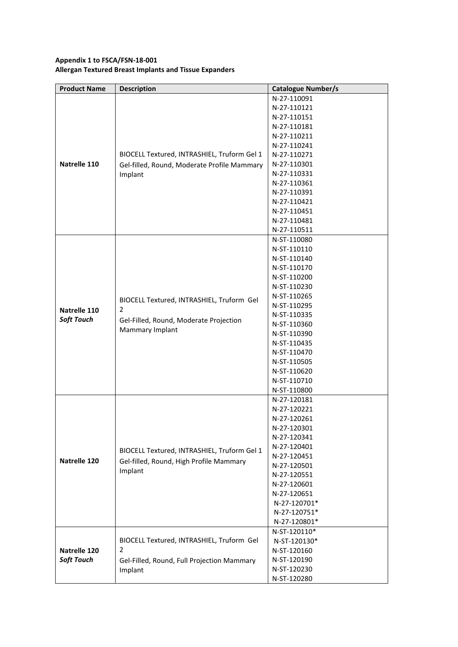## **Appendix 1 to FSCA/FSN-18-001 Allergan Textured Breast Implants and Tissue Expanders**

| <b>Product Name</b> | <b>Description</b>                                                                     | <b>Catalogue Number/s</b>  |
|---------------------|----------------------------------------------------------------------------------------|----------------------------|
|                     |                                                                                        | N-27-110091                |
|                     |                                                                                        | N-27-110121                |
|                     |                                                                                        | N-27-110151                |
|                     |                                                                                        | N-27-110181                |
|                     |                                                                                        | N-27-110211                |
|                     |                                                                                        | N-27-110241                |
|                     | BIOCELL Textured, INTRASHIEL, Truform Gel 1                                            | N-27-110271                |
| Natrelle 110        | Gel-filled, Round, Moderate Profile Mammary                                            | N-27-110301                |
|                     | Implant                                                                                | N-27-110331                |
|                     |                                                                                        | N-27-110361                |
|                     |                                                                                        | N-27-110391                |
|                     |                                                                                        | N-27-110421                |
|                     |                                                                                        | N-27-110451                |
|                     |                                                                                        | N-27-110481                |
|                     |                                                                                        | N-27-110511                |
|                     |                                                                                        | N-ST-110080                |
|                     |                                                                                        | N-ST-110110                |
|                     |                                                                                        | N-ST-110140                |
|                     |                                                                                        | N-ST-110170                |
|                     |                                                                                        | N-ST-110200                |
|                     |                                                                                        | N-ST-110230                |
|                     |                                                                                        | N-ST-110265                |
|                     | BIOCELL Textured, INTRASHIEL, Truform Gel                                              | N-ST-110295                |
| Natrelle 110        | 2                                                                                      | N-ST-110335                |
| <b>Soft Touch</b>   | Gel-Filled, Round, Moderate Projection<br>Mammary Implant                              | N-ST-110360                |
|                     |                                                                                        | N-ST-110390                |
|                     |                                                                                        | N-ST-110435                |
|                     |                                                                                        | N-ST-110470                |
|                     |                                                                                        | N-ST-110505                |
|                     |                                                                                        | N-ST-110620                |
|                     |                                                                                        | N-ST-110710                |
|                     |                                                                                        |                            |
|                     |                                                                                        | N-ST-110800<br>N-27-120181 |
|                     | BIOCELL Textured, INTRASHIEL, Truform Gel 1<br>Gel-filled, Round, High Profile Mammary | N-27-120221                |
|                     |                                                                                        | N-27-120261                |
|                     |                                                                                        | N-27-120301                |
|                     |                                                                                        | N-27-120341                |
|                     |                                                                                        | N-27-120401                |
|                     |                                                                                        | N-27-120451                |
| Natrelle 120        |                                                                                        | N-27-120501                |
|                     | Implant                                                                                | N-27-120551                |
|                     |                                                                                        | N-27-120601                |
|                     |                                                                                        | N-27-120651                |
|                     |                                                                                        | N-27-120701*               |
|                     |                                                                                        | N-27-120751*               |
|                     |                                                                                        | N-27-120801*               |
|                     |                                                                                        | N-ST-120110*               |
|                     | BIOCELL Textured, INTRASHIEL, Truform Gel                                              | N-ST-120130*               |
| Natrelle 120        | 2                                                                                      | N-ST-120160                |
| <b>Soft Touch</b>   |                                                                                        | N-ST-120190                |
|                     | Gel-Filled, Round, Full Projection Mammary                                             | N-ST-120230                |
|                     | Implant                                                                                |                            |
|                     |                                                                                        | N-ST-120280                |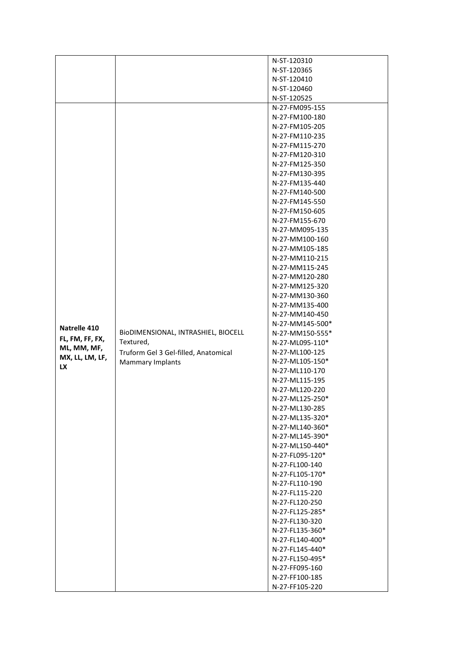|                                                   |                                                                              | N-ST-120310                      |
|---------------------------------------------------|------------------------------------------------------------------------------|----------------------------------|
|                                                   |                                                                              | N-ST-120365                      |
|                                                   |                                                                              |                                  |
|                                                   |                                                                              | N-ST-120410                      |
|                                                   |                                                                              | N-ST-120460                      |
|                                                   |                                                                              | N-ST-120525                      |
|                                                   |                                                                              | N-27-FM095-155                   |
|                                                   |                                                                              | N-27-FM100-180                   |
|                                                   |                                                                              | N-27-FM105-205                   |
|                                                   |                                                                              | N-27-FM110-235                   |
|                                                   |                                                                              | N-27-FM115-270                   |
|                                                   |                                                                              | N-27-FM120-310                   |
|                                                   |                                                                              | N-27-FM125-350                   |
|                                                   |                                                                              | N-27-FM130-395                   |
|                                                   |                                                                              | N-27-FM135-440                   |
|                                                   |                                                                              | N-27-FM140-500                   |
|                                                   |                                                                              | N-27-FM145-550                   |
|                                                   |                                                                              | N-27-FM150-605                   |
|                                                   |                                                                              | N-27-FM155-670                   |
|                                                   |                                                                              | N-27-MM095-135                   |
|                                                   |                                                                              | N-27-MM100-160                   |
|                                                   |                                                                              | N-27-MM105-185                   |
|                                                   |                                                                              |                                  |
|                                                   |                                                                              | N-27-MM110-215                   |
|                                                   |                                                                              | N-27-MM115-245                   |
|                                                   |                                                                              | N-27-MM120-280                   |
|                                                   |                                                                              | N-27-MM125-320                   |
|                                                   |                                                                              | N-27-MM130-360                   |
|                                                   |                                                                              | N-27-MM135-400                   |
|                                                   |                                                                              | N-27-MM140-450                   |
| Natrelle 410                                      |                                                                              | N-27-MM145-500*                  |
|                                                   | BIODIMENSIONAL, INTRASHIEL, BIOCELL                                          | N-27-MM150-555*                  |
| FL, FM, FF, FX,<br>ML, MM, MF,<br>MX, LL, LM, LF, | Textured,<br>Truform Gel 3 Gel-filled, Anatomical<br><b>Mammary Implants</b> | N-27-ML095-110*                  |
|                                                   |                                                                              | N-27-ML100-125                   |
|                                                   |                                                                              | N-27-ML105-150*                  |
| <b>LX</b>                                         |                                                                              | N-27-ML110-170                   |
|                                                   |                                                                              | N-27-ML115-195                   |
|                                                   |                                                                              | N-27-ML120-220                   |
|                                                   |                                                                              | N-27-ML125-250*                  |
|                                                   |                                                                              | N-27-ML130-285                   |
|                                                   |                                                                              | N-27-ML135-320*                  |
|                                                   |                                                                              | N-27-ML140-360*                  |
|                                                   |                                                                              | N-27-ML145-390*                  |
|                                                   |                                                                              | N-27-ML150-440*                  |
|                                                   |                                                                              |                                  |
|                                                   |                                                                              | N-27-FL095-120*                  |
|                                                   |                                                                              | N-27-FL100-140                   |
|                                                   |                                                                              | N-27-FL105-170*                  |
|                                                   |                                                                              | N-27-FL110-190                   |
|                                                   |                                                                              | N-27-FL115-220                   |
|                                                   |                                                                              | N-27-FL120-250                   |
|                                                   |                                                                              | N-27-FL125-285*                  |
|                                                   |                                                                              | N-27-FL130-320                   |
|                                                   |                                                                              | N-27-FL135-360*                  |
|                                                   |                                                                              | N-27-FL140-400*                  |
|                                                   |                                                                              | N-27-FL145-440*                  |
|                                                   |                                                                              |                                  |
|                                                   |                                                                              | N-27-FL150-495*                  |
|                                                   |                                                                              | N-27-FF095-160                   |
|                                                   |                                                                              |                                  |
|                                                   |                                                                              | N-27-FF100-185<br>N-27-FF105-220 |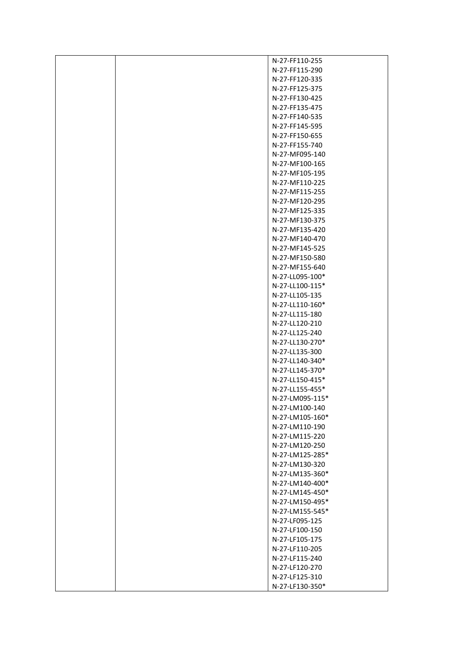| N-27-FF110-255  |
|-----------------|
| N-27-FF115-290  |
| N-27-FF120-335  |
| N-27-FF125-375  |
| N-27-FF130-425  |
| N-27-FF135-475  |
| N-27-FF140-535  |
| N-27-FF145-595  |
| N-27-FF150-655  |
| N-27-FF155-740  |
| N-27-MF095-140  |
| N-27-MF100-165  |
| N-27-MF105-195  |
| N-27-MF110-225  |
| N-27-MF115-255  |
| N-27-MF120-295  |
| N-27-MF125-335  |
| N-27-MF130-375  |
| N-27-MF135-420  |
| N-27-MF140-470  |
| N-27-MF145-525  |
| N-27-MF150-580  |
| N-27-MF155-640  |
| N-27-LL095-100* |
| N-27-LL100-115* |
| N-27-LL105-135  |
| N-27-LL110-160* |
| N-27-LL115-180  |
| N-27-LL120-210  |
| N-27-LL125-240  |
| N-27-LL130-270* |
| N-27-LL135-300  |
| N-27-LL140-340* |
| N-27-LL145-370* |
| N-27-LL150-415* |
| N-27-LL155-455* |
| N-27-LM095-115* |
| N-27-LM100-140  |
| N-27-LM105-160* |
| N-27-LM110-190  |
| N-27-LM115-220  |
| N-27-LM120-250  |
| N-27-LM125-285* |
| N-27-LM130-320  |
| N-27-LM135-360* |
| N-27-LM140-400* |
| N-27-LM145-450* |
| N-27-LM150-495* |
| N-27-LM155-545* |
| N-27-LF095-125  |
| N-27-LF100-150  |
| N-27-LF105-175  |
| N-27-LF110-205  |
| N-27-LF115-240  |
| N-27-LF120-270  |
| N-27-LF125-310  |
| N-27-LF130-350* |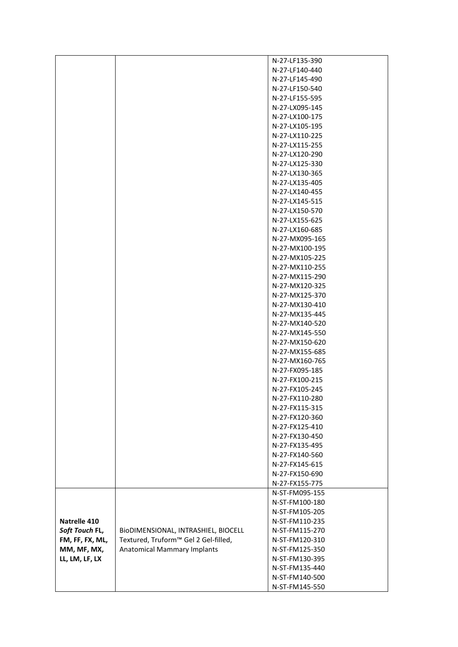|                 |                                      | N-27-LF135-390                   |
|-----------------|--------------------------------------|----------------------------------|
|                 |                                      | N-27-LF140-440                   |
|                 |                                      | N-27-LF145-490                   |
|                 |                                      | N-27-LF150-540                   |
|                 |                                      | N-27-LF155-595                   |
|                 |                                      | N-27-LX095-145                   |
|                 |                                      | N-27-LX100-175                   |
|                 |                                      | N-27-LX105-195                   |
|                 |                                      | N-27-LX110-225                   |
|                 |                                      | N-27-LX115-255                   |
|                 |                                      | N-27-LX120-290                   |
|                 |                                      | N-27-LX125-330                   |
|                 |                                      | N-27-LX130-365                   |
|                 |                                      | N-27-LX135-405                   |
|                 |                                      | N-27-LX140-455                   |
|                 |                                      | N-27-LX145-515                   |
|                 |                                      | N-27-LX150-570                   |
|                 |                                      | N-27-LX155-625                   |
|                 |                                      | N-27-LX160-685                   |
|                 |                                      | N-27-MX095-165                   |
|                 |                                      | N-27-MX100-195                   |
|                 |                                      | N-27-MX105-225                   |
|                 |                                      | N-27-MX110-255                   |
|                 |                                      | N-27-MX115-290                   |
|                 |                                      | N-27-MX120-325                   |
|                 |                                      | N-27-MX125-370                   |
|                 |                                      | N-27-MX130-410                   |
|                 |                                      | N-27-MX135-445                   |
|                 |                                      | N-27-MX140-520                   |
|                 |                                      | N-27-MX145-550                   |
|                 |                                      | N-27-MX150-620                   |
|                 |                                      | N-27-MX155-685                   |
|                 |                                      | N-27-MX160-765                   |
|                 |                                      | N-27-FX095-185                   |
|                 |                                      | N-27-FX100-215                   |
|                 |                                      | N-27-FX105-245                   |
|                 |                                      |                                  |
|                 |                                      | N-27-FX110-280<br>N-27-FX115-315 |
|                 |                                      | N-27-FX120-360                   |
|                 |                                      | N-27-FX125-410                   |
|                 |                                      | N-27-FX130-450                   |
|                 |                                      | N-27-FX135-495                   |
|                 |                                      | N-27-FX140-560                   |
|                 |                                      | N-27-FX145-615                   |
|                 |                                      | N-27-FX150-690                   |
|                 |                                      | N-27-FX155-775                   |
|                 |                                      | N-ST-FM095-155                   |
|                 |                                      | N-ST-FM100-180                   |
|                 |                                      | N-ST-FM105-205                   |
| Natrelle 410    |                                      | N-ST-FM110-235                   |
| Soft Touch FL,  | BIODIMENSIONAL, INTRASHIEL, BIOCELL  | N-ST-FM115-270                   |
| FM, FF, FX, ML, | Textured, Truform™ Gel 2 Gel-filled, | N-ST-FM120-310                   |
| MM, MF, MX,     | <b>Anatomical Mammary Implants</b>   | N-ST-FM125-350                   |
| LL, LM, LF, LX  |                                      | N-ST-FM130-395                   |
|                 |                                      | N-ST-FM135-440                   |
|                 |                                      | N-ST-FM140-500                   |
|                 |                                      | N-ST-FM145-550                   |
|                 |                                      |                                  |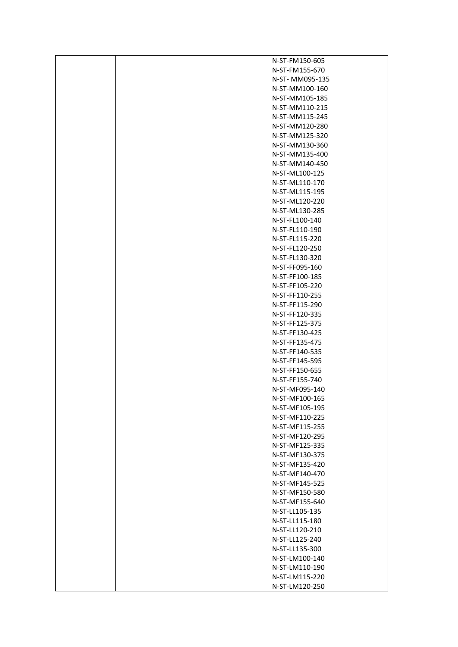| N-ST-FM150-605                   |
|----------------------------------|
| N-ST-FM155-670                   |
| N-ST-MM095-135                   |
| N-ST-MM100-160                   |
| N-ST-MM105-185                   |
| N-ST-MM110-215                   |
| N-ST-MM115-245                   |
| N-ST-MM120-280                   |
| N-ST-MM125-320                   |
| N-ST-MM130-360                   |
| N-ST-MM135-400                   |
| N-ST-MM140-450                   |
| N-ST-ML100-125                   |
| N-ST-ML110-170                   |
| N-ST-ML115-195                   |
| N-ST-ML120-220                   |
| N-ST-ML130-285                   |
| N-ST-FL100-140                   |
| N-ST-FL110-190                   |
| N-ST-FL115-220                   |
| N-ST-FL120-250                   |
| N-ST-FL130-320                   |
| N-ST-FF095-160                   |
| N-ST-FF100-185                   |
| N-ST-FF105-220                   |
| N-ST-FF110-255                   |
| N-ST-FF115-290                   |
| N-ST-FF120-335                   |
| N-ST-FF125-375                   |
| N-ST-FF130-425                   |
| N-ST-FF135-475                   |
| N-ST-FF140-535                   |
| N-ST-FF145-595                   |
| N-ST-FF150-655                   |
| N-ST-FF155-740                   |
| N-ST-MF095-140                   |
| N-ST-MF100-165                   |
| N-ST-MF105-195                   |
| N-ST-MF110-225                   |
| N-ST-MF115-255                   |
| N-ST-MF120-295                   |
| N-ST-MF125-335                   |
| N-ST-MF130-375                   |
| N-ST-MF135-420                   |
| N-ST-MF140-470                   |
| N-ST-MF145-525                   |
| N-ST-MF150-580                   |
| N-ST-MF155-640                   |
| N-ST-LL105-135                   |
| N-ST-LL115-180                   |
| N-ST-LL120-210                   |
| N-ST-LL125-240                   |
| N-ST-LL135-300                   |
| N-ST-LM100-140                   |
| N-ST-LM110-190<br>N-ST-LM115-220 |
| N-ST-LM120-250                   |
|                                  |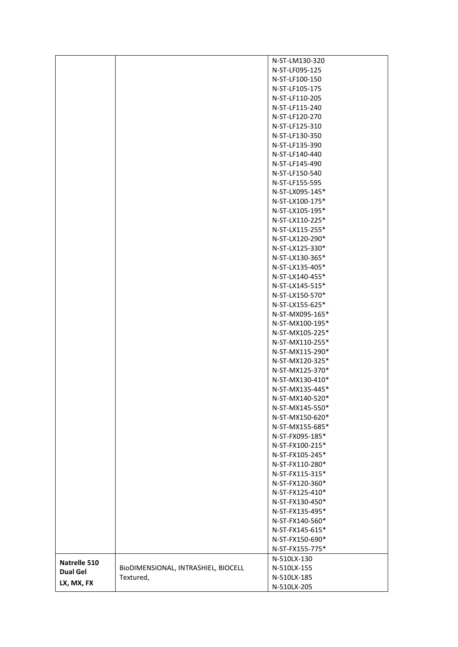|                 |                                     | N-ST-LM130-320  |
|-----------------|-------------------------------------|-----------------|
|                 |                                     | N-ST-LF095-125  |
|                 |                                     | N-ST-LF100-150  |
|                 |                                     | N-ST-LF105-175  |
|                 |                                     | N-ST-LF110-205  |
|                 |                                     | N-ST-LF115-240  |
|                 |                                     | N-ST-LF120-270  |
|                 |                                     | N-ST-LF125-310  |
|                 |                                     | N-ST-LF130-350  |
|                 |                                     | N-ST-LF135-390  |
|                 |                                     | N-ST-LF140-440  |
|                 |                                     | N-ST-LF145-490  |
|                 |                                     | N-ST-LF150-540  |
|                 |                                     | N-ST-LF155-595  |
|                 |                                     | N-ST-LX095-145* |
|                 |                                     | N-ST-LX100-175* |
|                 |                                     | N-ST-LX105-195* |
|                 |                                     | N-ST-LX110-225* |
|                 |                                     | N-ST-LX115-255* |
|                 |                                     | N-ST-LX120-290* |
|                 |                                     | N-ST-LX125-330* |
|                 |                                     | N-ST-LX130-365* |
|                 |                                     | N-ST-LX135-405* |
|                 |                                     | N-ST-LX140-455* |
|                 |                                     | N-ST-LX145-515* |
|                 |                                     | N-ST-LX150-570* |
|                 |                                     | N-ST-LX155-625* |
|                 |                                     | N-ST-MX095-165* |
|                 |                                     | N-ST-MX100-195* |
|                 |                                     | N-ST-MX105-225* |
|                 |                                     | N-ST-MX110-255* |
|                 |                                     | N-ST-MX115-290* |
|                 |                                     | N-ST-MX120-325* |
|                 |                                     | N-ST-MX125-370* |
|                 |                                     | N-ST-MX130-410* |
|                 |                                     | N-ST-MX135-445* |
|                 |                                     | N-ST-MX140-520* |
|                 |                                     | N-ST-MX145-550* |
|                 |                                     | N-ST-MX150-620* |
|                 |                                     | N-ST-MX155-685* |
|                 |                                     | N-ST-FX095-185* |
|                 |                                     | N-ST-FX100-215* |
|                 |                                     | N-ST-FX105-245* |
|                 |                                     | N-ST-FX110-280* |
|                 |                                     | N-ST-FX115-315* |
|                 |                                     | N-ST-FX120-360* |
|                 |                                     | N-ST-FX125-410* |
|                 |                                     | N-ST-FX130-450* |
|                 |                                     | N-ST-FX135-495* |
|                 |                                     | N-ST-FX140-560* |
|                 |                                     | N-ST-FX145-615* |
|                 |                                     | N-ST-FX150-690* |
|                 |                                     | N-ST-FX155-775* |
| Natrelle 510    |                                     | N-510LX-130     |
| <b>Dual Gel</b> | BIODIMENSIONAL, INTRASHIEL, BIOCELL | N-510LX-155     |
| LX, MX, FX      | Textured,                           | N-510LX-185     |
|                 |                                     | N-510LX-205     |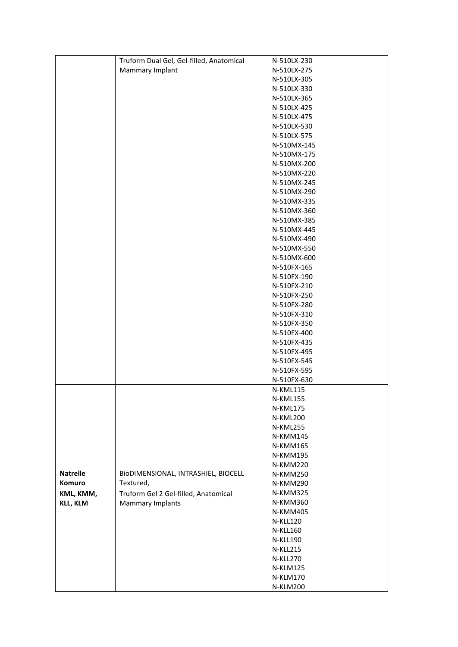|                 | Truform Dual Gel, Gel-filled, Anatomical | N-510LX-230     |
|-----------------|------------------------------------------|-----------------|
|                 | Mammary Implant                          | N-510LX-275     |
|                 |                                          | N-510LX-305     |
|                 |                                          | N-510LX-330     |
|                 |                                          | N-510LX-365     |
|                 |                                          | N-510LX-425     |
|                 |                                          | N-510LX-475     |
|                 |                                          | N-510LX-530     |
|                 |                                          | N-510LX-575     |
|                 |                                          | N-510MX-145     |
|                 |                                          | N-510MX-175     |
|                 |                                          | N-510MX-200     |
|                 |                                          | N-510MX-220     |
|                 |                                          | N-510MX-245     |
|                 |                                          | N-510MX-290     |
|                 |                                          | N-510MX-335     |
|                 |                                          | N-510MX-360     |
|                 |                                          | N-510MX-385     |
|                 |                                          | N-510MX-445     |
|                 |                                          | N-510MX-490     |
|                 |                                          | N-510MX-550     |
|                 |                                          | N-510MX-600     |
|                 |                                          | N-510FX-165     |
|                 |                                          | N-510FX-190     |
|                 |                                          | N-510FX-210     |
|                 |                                          | N-510FX-250     |
|                 |                                          | N-510FX-280     |
|                 |                                          | N-510FX-310     |
|                 |                                          | N-510FX-350     |
|                 |                                          | N-510FX-400     |
|                 |                                          | N-510FX-435     |
|                 |                                          | N-510FX-495     |
|                 |                                          | N-510FX-545     |
|                 |                                          | N-510FX-595     |
|                 |                                          | N-510FX-630     |
|                 |                                          | N-KML115        |
|                 |                                          | N-KML155        |
|                 |                                          | N-KML175        |
|                 |                                          | N-KML200        |
|                 |                                          | N-KML255        |
|                 |                                          | N-KMM145        |
|                 |                                          | N-KMM165        |
|                 |                                          | <b>N-KMM195</b> |
|                 |                                          | <b>N-KMM220</b> |
| <b>Natrelle</b> | BIODIMENSIONAL, INTRASHIEL, BIOCELL      | N-KMM250        |
| Komuro          | Textured,                                | <b>N-KMM290</b> |
| KML, KMM,       | Truform Gel 2 Gel-filled, Anatomical     | N-KMM325        |
| <b>KLL, KLM</b> | <b>Mammary Implants</b>                  | N-KMM360        |
|                 |                                          | N-KMM405        |
|                 |                                          | <b>N-KLL120</b> |
|                 |                                          | <b>N-KLL160</b> |
|                 |                                          | <b>N-KLL190</b> |
|                 |                                          | N-KLL215        |
|                 |                                          | N-KLL270        |
|                 |                                          | <b>N-KLM125</b> |
|                 |                                          | N-KLM170        |
|                 |                                          | <b>N-KLM200</b> |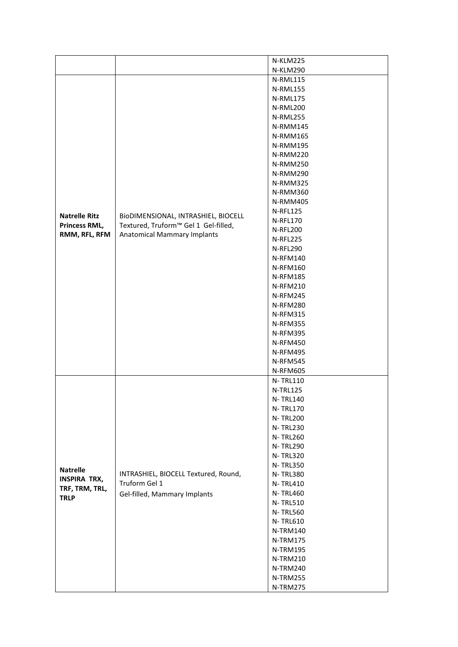|                      |                                      | <b>N-KLM225</b> |
|----------------------|--------------------------------------|-----------------|
|                      |                                      | <b>N-KLM290</b> |
|                      |                                      |                 |
|                      |                                      | N-RML115        |
|                      |                                      | N-RML155        |
|                      |                                      | N-RML175        |
|                      |                                      | N-RML200        |
|                      |                                      | N-RML255        |
|                      |                                      | N-RMM145        |
|                      |                                      | <b>N-RMM165</b> |
|                      |                                      | <b>N-RMM195</b> |
|                      |                                      | <b>N-RMM220</b> |
|                      |                                      | <b>N-RMM250</b> |
|                      |                                      | N-RMM290        |
|                      |                                      | N-RMM325        |
|                      |                                      | N-RMM360        |
|                      |                                      | N-RMM405        |
| <b>Natrelle Ritz</b> | BIODIMENSIONAL, INTRASHIEL, BIOCELL  | <b>N-RFL125</b> |
| Princess RML,        |                                      | N-RFL170        |
|                      | Textured, Truform™ Gel 1 Gel-filled, | N-RFL200        |
| RMM, RFL, RFM        | <b>Anatomical Mammary Implants</b>   | N-RFL225        |
|                      |                                      | N-RFL290        |
|                      |                                      | <b>N-RFM140</b> |
|                      |                                      | <b>N-RFM160</b> |
|                      |                                      | <b>N-RFM185</b> |
|                      |                                      | <b>N-RFM210</b> |
|                      |                                      | <b>N-RFM245</b> |
|                      |                                      | <b>N-RFM280</b> |
|                      |                                      | <b>N-RFM315</b> |
|                      |                                      | <b>N-RFM355</b> |
|                      |                                      |                 |
|                      |                                      | <b>N-RFM395</b> |
|                      |                                      | <b>N-RFM450</b> |
|                      |                                      | <b>N-RFM495</b> |
|                      |                                      | <b>N-RFM545</b> |
|                      |                                      | <b>N-RFM605</b> |
|                      |                                      | <b>N-TRL110</b> |
|                      |                                      | <b>N-TRL125</b> |
|                      |                                      | <b>N-TRL140</b> |
|                      |                                      | <b>N-TRL170</b> |
|                      |                                      | <b>N-TRL200</b> |
|                      |                                      | <b>N-TRL230</b> |
|                      |                                      | <b>N-TRL260</b> |
|                      |                                      | <b>N-TRL290</b> |
|                      |                                      | <b>N-TRL320</b> |
|                      |                                      | <b>N-TRL350</b> |
| <b>Natrelle</b>      | INTRASHIEL, BIOCELL Textured, Round, | <b>N-TRL380</b> |
| <b>INSPIRA TRX,</b>  | Truform Gel 1                        | <b>N-TRL410</b> |
| TRF, TRM, TRL,       | Gel-filled, Mammary Implants         | <b>N-TRL460</b> |
| <b>TRLP</b>          |                                      | <b>N-TRL510</b> |
|                      |                                      | <b>N-TRL560</b> |
|                      |                                      | <b>N-TRL610</b> |
|                      |                                      | N-TRM140        |
|                      |                                      | <b>N-TRM175</b> |
|                      |                                      | N-TRM195        |
|                      |                                      | N-TRM210        |
|                      |                                      | N-TRM240        |
|                      |                                      |                 |
|                      |                                      | N-TRM255        |
|                      |                                      | N-TRM275        |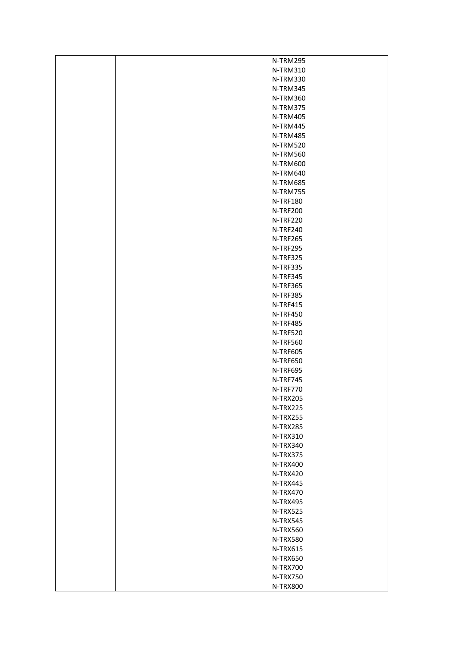| N-TRM295             |
|----------------------|
| <b>N-TRM310</b>      |
| N-TRM330             |
| N-TRM345             |
| N-TRM360             |
| N-TRM375             |
| N-TRM405             |
| N-TRM445             |
| N-TRM485             |
| N-TRM520             |
| N-TRM560             |
| N-TRM600             |
| N-TRM640             |
| N-TRM685             |
| N-TRM755             |
| N-TRF180             |
| <b>N-TRF200</b>      |
| N-TRF220             |
| N-TRF240             |
| N-TRF265             |
| N-TRF295             |
| N-TRF325             |
| N-TRF335             |
| N-TRF345             |
| N-TRF365             |
| N-TRF385             |
| <b>N-TRF415</b>      |
| N-TRF450             |
| N-TRF485             |
| N-TRF520             |
| <b>N-TRF560</b>      |
| <b>N-TRF605</b>      |
| N-TRF650             |
| N-TRF695             |
| N-TRF745             |
| N-TRF770             |
| N-TRX205             |
| N-TRX225             |
| N-TRX255             |
| N-TRX285             |
| N-TRX310             |
| N-TRX340             |
| N-TRX375             |
| N-TRX400             |
| N-TRX420             |
| N-TRX445             |
| N-TRX470             |
| N-TRX495             |
| N-TRX525             |
| N-TRX545             |
| N-TRX560             |
| N-TRX580             |
| N-TRX615             |
| N-TRX650             |
| <b>N-TRX700</b>      |
| N-TRX750<br>N-TRX800 |
|                      |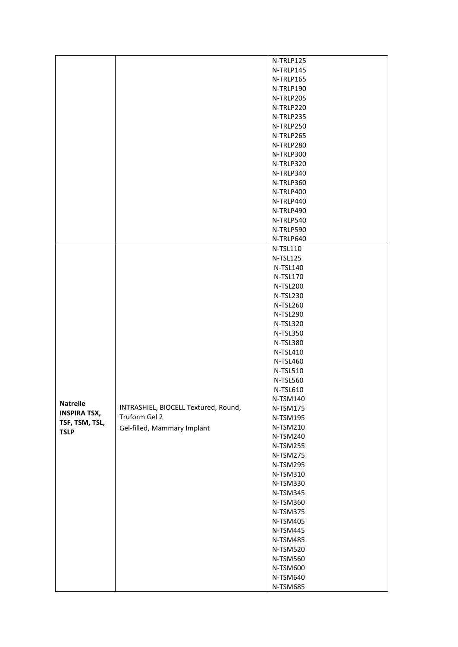|                     |                                      | N-TRLP125       |
|---------------------|--------------------------------------|-----------------|
|                     |                                      |                 |
|                     |                                      | N-TRLP145       |
|                     |                                      | N-TRLP165       |
|                     |                                      | N-TRLP190       |
|                     |                                      | N-TRLP205       |
|                     |                                      | N-TRLP220       |
|                     |                                      | N-TRLP235       |
|                     |                                      | N-TRLP250       |
|                     |                                      | N-TRLP265       |
|                     |                                      | N-TRLP280       |
|                     |                                      | N-TRLP300       |
|                     |                                      | N-TRLP320       |
|                     |                                      | N-TRLP340       |
|                     |                                      | N-TRLP360       |
|                     |                                      | N-TRLP400       |
|                     |                                      | N-TRLP440       |
|                     |                                      | N-TRLP490       |
|                     |                                      | N-TRLP540       |
|                     |                                      |                 |
|                     |                                      | N-TRLP590       |
|                     |                                      | N-TRLP640       |
|                     |                                      | N-TSL110        |
|                     |                                      | N-TSL125        |
|                     |                                      | N-TSL140        |
|                     |                                      | <b>N-TSL170</b> |
|                     |                                      | N-TSL200        |
|                     |                                      | N-TSL230        |
|                     |                                      | N-TSL260        |
|                     |                                      | N-TSL290        |
|                     |                                      | N-TSL320        |
|                     |                                      | N-TSL350        |
|                     |                                      | N-TSL380        |
|                     |                                      | N-TSL410        |
|                     |                                      | N-TSL460        |
|                     |                                      | N-TSL510        |
|                     |                                      | N-TSL560        |
|                     |                                      |                 |
|                     |                                      | N-TSL610        |
| <b>Natrelle</b>     |                                      | N-TSM140        |
| <b>INSPIRA TSX,</b> | INTRASHIEL, BIOCELL Textured, Round, | N-TSM175        |
| TSF, TSM, TSL,      | Truform Gel 2                        | N-TSM195        |
| <b>TSLP</b>         | Gel-filled, Mammary Implant          | N-TSM210        |
|                     |                                      | N-TSM240        |
|                     |                                      | N-TSM255        |
|                     |                                      | N-TSM275        |
|                     |                                      | N-TSM295        |
|                     |                                      | N-TSM310        |
|                     |                                      | N-TSM330        |
|                     |                                      | N-TSM345        |
|                     |                                      | N-TSM360        |
|                     |                                      | N-TSM375        |
|                     |                                      | N-TSM405        |
|                     |                                      | N-TSM445        |
|                     |                                      | N-TSM485        |
|                     |                                      | N-TSM520        |
|                     |                                      | N-TSM560        |
|                     |                                      |                 |
|                     |                                      | N-TSM600        |
|                     |                                      | N-TSM640        |
|                     |                                      | N-TSM685        |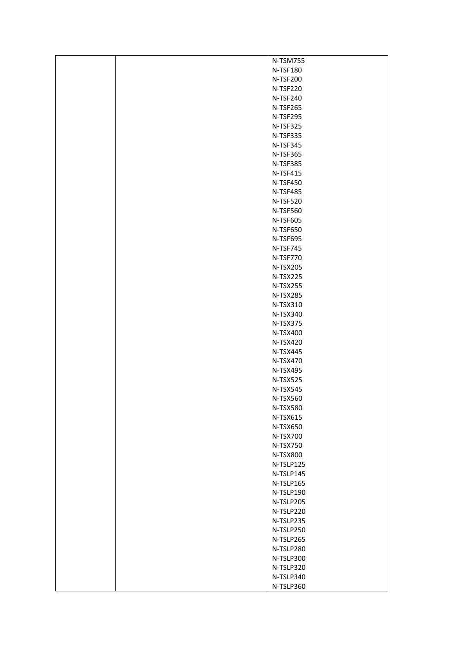| N-TSM755        |
|-----------------|
| N-TSF180        |
| <b>N-TSF200</b> |
| N-TSF220        |
| N-TSF240        |
| N-TSF265        |
| N-TSF295        |
| N-TSF325        |
| N-TSF335        |
| N-TSF345        |
| N-TSF365        |
| N-TSF385        |
| N-TSF415        |
| <b>N-TSF450</b> |
| N-TSF485        |
| N-TSF520        |
| N-TSF560        |
| N-TSF605        |
| N-TSF650        |
| N-TSF695        |
| N-TSF745        |
| N-TSF770        |
| N-TSX205        |
| N-TSX225        |
| N-TSX255        |
| N-TSX285        |
| N-TSX310        |
| N-TSX340        |
| N-TSX375        |
| N-TSX400        |
| N-TSX420        |
| N-TSX445        |
| N-TSX470        |
| N-TSX495        |
| N-TSX525        |
| N-TSX545        |
| N-TSX560        |
| N-TSX580        |
| N-TSX615        |
| N-TSX650        |
| <b>N-TSX700</b> |
| N-TSX750        |
| N-TSX800        |
| N-TSLP125       |
| N-TSLP145       |
| N-TSLP165       |
| N-TSLP190       |
| N-TSLP205       |
| N-TSLP220       |
| N-TSLP235       |
| N-TSLP250       |
| N-TSLP265       |
| N-TSLP280       |
| N-TSLP300       |
| N-TSLP320       |
| N-TSLP340       |
| N-TSLP360       |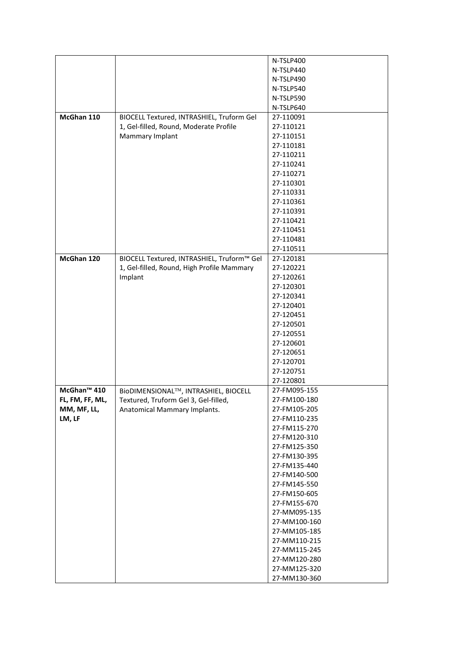|                         |                                            | N-TSLP400    |
|-------------------------|--------------------------------------------|--------------|
|                         |                                            | N-TSLP440    |
|                         |                                            | N-TSLP490    |
|                         |                                            | N-TSLP540    |
|                         |                                            | N-TSLP590    |
|                         |                                            |              |
|                         |                                            | N-TSLP640    |
| McGhan 110              | BIOCELL Textured, INTRASHIEL, Truform Gel  | 27-110091    |
|                         | 1, Gel-filled, Round, Moderate Profile     | 27-110121    |
|                         | Mammary Implant                            | 27-110151    |
|                         |                                            | 27-110181    |
|                         |                                            | 27-110211    |
|                         |                                            | 27-110241    |
|                         |                                            | 27-110271    |
|                         |                                            | 27-110301    |
|                         |                                            | 27-110331    |
|                         |                                            | 27-110361    |
|                         |                                            | 27-110391    |
|                         |                                            | 27-110421    |
|                         |                                            | 27-110451    |
|                         |                                            | 27-110481    |
|                         |                                            | 27-110511    |
| McGhan 120              | BIOCELL Textured, INTRASHIEL, Truform™ Gel | 27-120181    |
|                         | 1, Gel-filled, Round, High Profile Mammary | 27-120221    |
|                         | Implant                                    | 27-120261    |
|                         |                                            | 27-120301    |
|                         |                                            | 27-120341    |
|                         |                                            |              |
|                         |                                            | 27-120401    |
|                         |                                            | 27-120451    |
|                         |                                            | 27-120501    |
|                         |                                            | 27-120551    |
|                         |                                            | 27-120601    |
|                         |                                            | 27-120651    |
|                         |                                            | 27-120701    |
|                         |                                            | 27-120751    |
|                         |                                            | 27-120801    |
| McGhan <sup>™</sup> 410 | BioDIMENSIONAL™, INTRASHIEL, BIOCELL       | 27-FM095-155 |
| FL, FM, FF, ML,         | Textured, Truform Gel 3, Gel-filled,       | 27-FM100-180 |
| MM, MF, LL,             | Anatomical Mammary Implants.               | 27-FM105-205 |
| LM, LF                  |                                            | 27-FM110-235 |
|                         |                                            | 27-FM115-270 |
|                         |                                            | 27-FM120-310 |
|                         |                                            | 27-FM125-350 |
|                         |                                            | 27-FM130-395 |
|                         |                                            | 27-FM135-440 |
|                         |                                            | 27-FM140-500 |
|                         |                                            | 27-FM145-550 |
|                         |                                            | 27-FM150-605 |
|                         |                                            | 27-FM155-670 |
|                         |                                            | 27-MM095-135 |
|                         |                                            | 27-MM100-160 |
|                         |                                            | 27-MM105-185 |
|                         |                                            |              |
|                         |                                            | 27-MM110-215 |
|                         |                                            | 27-MM115-245 |
|                         |                                            | 27-MM120-280 |
|                         |                                            | 27-MM125-320 |
|                         |                                            | 27-MM130-360 |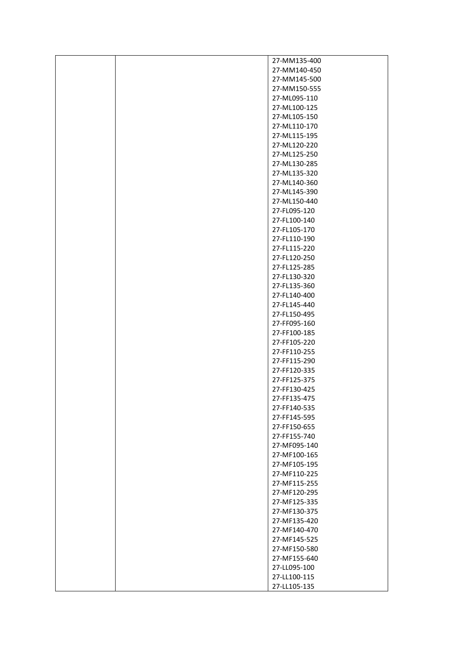|  | 27-MM135-400                 |
|--|------------------------------|
|  | 27-MM140-450                 |
|  | 27-MM145-500                 |
|  | 27-MM150-555                 |
|  | 27-ML095-110                 |
|  | 27-ML100-125                 |
|  | 27-ML105-150                 |
|  | 27-ML110-170                 |
|  | 27-ML115-195                 |
|  | 27-ML120-220                 |
|  | 27-ML125-250                 |
|  | 27-ML130-285                 |
|  | 27-ML135-320                 |
|  | 27-ML140-360                 |
|  | 27-ML145-390                 |
|  | 27-ML150-440                 |
|  | 27-FL095-120                 |
|  | 27-FL100-140                 |
|  | 27-FL105-170                 |
|  | 27-FL110-190                 |
|  | 27-FL115-220                 |
|  | 27-FL120-250                 |
|  | 27-FL125-285                 |
|  | 27-FL130-320                 |
|  | 27-FL135-360                 |
|  | 27-FL140-400                 |
|  | 27-FL145-440                 |
|  | 27-FL150-495                 |
|  | 27-FF095-160                 |
|  |                              |
|  | 27-FF100-185<br>27-FF105-220 |
|  | 27-FF110-255                 |
|  | 27-FF115-290                 |
|  | 27-FF120-335                 |
|  |                              |
|  | 27-FF125-375                 |
|  | 27-FF130-425                 |
|  | 27-FF135-475<br>27-FF140-535 |
|  |                              |
|  | 27-FF145-595                 |
|  | 27-FF150-655<br>27-FF155-740 |
|  |                              |
|  | 27-MF095-140<br>27-MF100-165 |
|  | 27-MF105-195                 |
|  | 27-MF110-225                 |
|  | 27-MF115-255                 |
|  | 27-MF120-295                 |
|  | 27-MF125-335                 |
|  | 27-MF130-375                 |
|  | 27-MF135-420                 |
|  | 27-MF140-470                 |
|  | 27-MF145-525                 |
|  |                              |
|  | 27-MF150-580                 |
|  | 27-MF155-640                 |
|  | 27-LL095-100                 |
|  | 27-LL100-115                 |
|  | 27-LL105-135                 |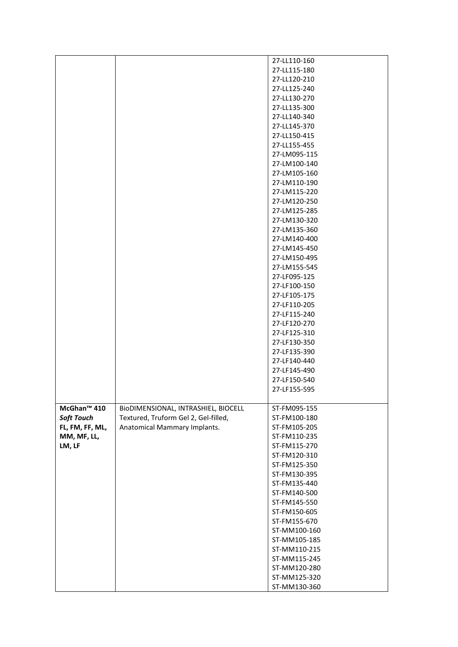|                         |                                      | 27-LL110-160 |
|-------------------------|--------------------------------------|--------------|
|                         |                                      | 27-LL115-180 |
|                         |                                      | 27-LL120-210 |
|                         |                                      | 27-LL125-240 |
|                         |                                      | 27-LL130-270 |
|                         |                                      | 27-LL135-300 |
|                         |                                      | 27-LL140-340 |
|                         |                                      | 27-LL145-370 |
|                         |                                      |              |
|                         |                                      | 27-LL150-415 |
|                         |                                      | 27-LL155-455 |
|                         |                                      | 27-LM095-115 |
|                         |                                      | 27-LM100-140 |
|                         |                                      | 27-LM105-160 |
|                         |                                      | 27-LM110-190 |
|                         |                                      | 27-LM115-220 |
|                         |                                      | 27-LM120-250 |
|                         |                                      | 27-LM125-285 |
|                         |                                      | 27-LM130-320 |
|                         |                                      | 27-LM135-360 |
|                         |                                      | 27-LM140-400 |
|                         |                                      |              |
|                         |                                      | 27-LM145-450 |
|                         |                                      | 27-LM150-495 |
|                         |                                      | 27-LM155-545 |
|                         |                                      | 27-LF095-125 |
|                         |                                      | 27-LF100-150 |
|                         |                                      | 27-LF105-175 |
|                         |                                      | 27-LF110-205 |
|                         |                                      | 27-LF115-240 |
|                         |                                      | 27-LF120-270 |
|                         |                                      | 27-LF125-310 |
|                         |                                      | 27-LF130-350 |
|                         |                                      | 27-LF135-390 |
|                         |                                      | 27-LF140-440 |
|                         |                                      |              |
|                         |                                      | 27-LF145-490 |
|                         |                                      | 27-LF150-540 |
|                         |                                      | 27-LF155-595 |
|                         |                                      |              |
| McGhan <sup>™</sup> 410 | BIODIMENSIONAL, INTRASHIEL, BIOCELL  | ST-FM095-155 |
| <b>Soft Touch</b>       | Textured, Truform Gel 2, Gel-filled, | ST-FM100-180 |
| FL, FM, FF, ML,         | Anatomical Mammary Implants.         | ST-FM105-205 |
| MM, MF, LL,             |                                      | ST-FM110-235 |
| LM, LF                  |                                      | ST-FM115-270 |
|                         |                                      | ST-FM120-310 |
|                         |                                      | ST-FM125-350 |
|                         |                                      | ST-FM130-395 |
|                         |                                      | ST-FM135-440 |
|                         |                                      | ST-FM140-500 |
|                         |                                      |              |
|                         |                                      | ST-FM145-550 |
|                         |                                      | ST-FM150-605 |
|                         |                                      | ST-FM155-670 |
|                         |                                      | ST-MM100-160 |
|                         |                                      | ST-MM105-185 |
|                         |                                      | ST-MM110-215 |
|                         |                                      | ST-MM115-245 |
|                         |                                      | ST-MM120-280 |
|                         |                                      | ST-MM125-320 |
|                         |                                      |              |
|                         |                                      | ST-MM130-360 |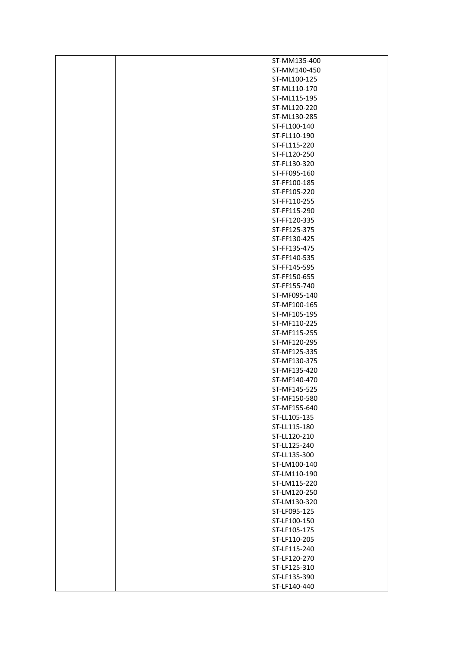|  | ST-MM135-400                 |
|--|------------------------------|
|  | ST-MM140-450                 |
|  | ST-ML100-125                 |
|  | ST-ML110-170                 |
|  | ST-ML115-195                 |
|  | ST-ML120-220                 |
|  | ST-ML130-285                 |
|  | ST-FL100-140                 |
|  | ST-FL110-190                 |
|  | ST-FL115-220                 |
|  | ST-FL120-250                 |
|  | ST-FL130-320                 |
|  | ST-FF095-160                 |
|  | ST-FF100-185                 |
|  | ST-FF105-220                 |
|  | ST-FF110-255                 |
|  | ST-FF115-290                 |
|  | ST-FF120-335                 |
|  | ST-FF125-375                 |
|  | ST-FF130-425                 |
|  | ST-FF135-475                 |
|  | ST-FF140-535                 |
|  | ST-FF145-595                 |
|  | ST-FF150-655                 |
|  | ST-FF155-740                 |
|  | ST-MF095-140                 |
|  | ST-MF100-165                 |
|  | ST-MF105-195                 |
|  | ST-MF110-225                 |
|  | ST-MF115-255                 |
|  | ST-MF120-295                 |
|  | ST-MF125-335                 |
|  | ST-MF130-375                 |
|  | ST-MF135-420                 |
|  | ST-MF140-470                 |
|  | ST-MF145-525                 |
|  | ST-MF150-580                 |
|  | ST-MF155-640                 |
|  | ST-LL105-135                 |
|  | ST-LL115-180                 |
|  | ST-LL120-210                 |
|  | ST-LL125-240                 |
|  | ST-LL135-300                 |
|  | ST-LM100-140                 |
|  | ST-LM110-190                 |
|  | ST-LM115-220                 |
|  | ST-LM120-250                 |
|  | ST-LM130-320                 |
|  | ST-LF095-125                 |
|  | ST-LF100-150                 |
|  | ST-LF105-175                 |
|  | ST-LF110-205                 |
|  | ST-LF115-240                 |
|  | ST-LF120-270<br>ST-LF125-310 |
|  | ST-LF135-390                 |
|  | ST-LF140-440                 |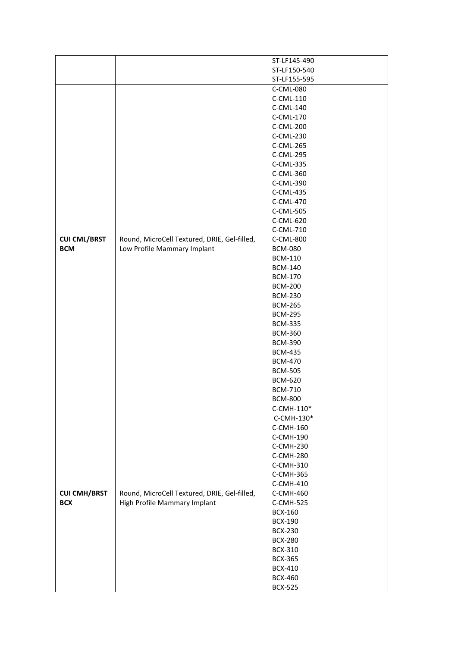|                     |                                              | ST-LF145-490   |
|---------------------|----------------------------------------------|----------------|
|                     |                                              | ST-LF150-540   |
|                     |                                              | ST-LF155-595   |
|                     |                                              | C-CML-080      |
|                     |                                              | C-CML-110      |
|                     |                                              | C-CML-140      |
|                     |                                              | C-CML-170      |
|                     |                                              | C-CML-200      |
|                     |                                              | C-CML-230      |
|                     |                                              | C-CML-265      |
|                     |                                              | C-CML-295      |
|                     |                                              | C-CML-335      |
|                     |                                              | C-CML-360      |
|                     |                                              | C-CML-390      |
|                     |                                              |                |
|                     |                                              | C-CML-435      |
|                     |                                              | C-CML-470      |
|                     |                                              | C-CML-505      |
|                     |                                              | C-CML-620      |
|                     |                                              | C-CML-710      |
| <b>CUI CML/BRST</b> | Round, MicroCell Textured, DRIE, Gel-filled, | C-CML-800      |
| <b>BCM</b>          | Low Profile Mammary Implant                  | <b>BCM-080</b> |
|                     |                                              | <b>BCM-110</b> |
|                     |                                              | <b>BCM-140</b> |
|                     |                                              | <b>BCM-170</b> |
|                     |                                              | <b>BCM-200</b> |
|                     |                                              | <b>BCM-230</b> |
|                     |                                              | <b>BCM-265</b> |
|                     |                                              | <b>BCM-295</b> |
|                     |                                              |                |
|                     |                                              | <b>BCM-335</b> |
|                     |                                              | <b>BCM-360</b> |
|                     |                                              | <b>BCM-390</b> |
|                     |                                              | <b>BCM-435</b> |
|                     |                                              | <b>BCM-470</b> |
|                     |                                              | <b>BCM-505</b> |
|                     |                                              | <b>BCM-620</b> |
|                     |                                              | <b>BCM-710</b> |
|                     |                                              | <b>BCM-800</b> |
|                     |                                              | C-CMH-110*     |
|                     |                                              | C-CMH-130*     |
|                     |                                              | C-CMH-160      |
|                     |                                              | C-CMH-190      |
|                     |                                              | C-CMH-230      |
|                     |                                              | C-CMH-280      |
|                     |                                              | C-CMH-310      |
|                     |                                              |                |
|                     |                                              | C-CMH-365      |
|                     |                                              | C-CMH-410      |
| <b>CUI CMH/BRST</b> | Round, MicroCell Textured, DRIE, Gel-filled, | C-CMH-460      |
| <b>BCX</b>          | High Profile Mammary Implant                 | C-CMH-525      |
|                     |                                              | <b>BCX-160</b> |
|                     |                                              | <b>BCX-190</b> |
|                     |                                              | <b>BCX-230</b> |
|                     |                                              | <b>BCX-280</b> |
|                     |                                              | <b>BCX-310</b> |
|                     |                                              | <b>BCX-365</b> |
|                     |                                              | <b>BCX-410</b> |
|                     |                                              | <b>BCX-460</b> |
|                     |                                              | <b>BCX-525</b> |
|                     |                                              |                |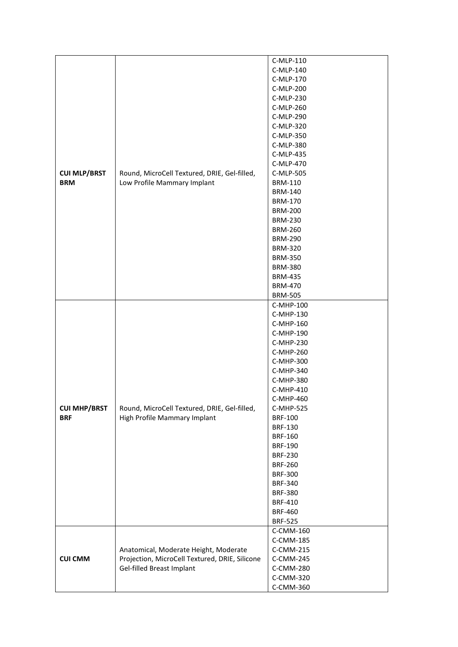|                                   |                                                                              | C-MLP-110      |
|-----------------------------------|------------------------------------------------------------------------------|----------------|
|                                   |                                                                              | C-MLP-140      |
|                                   | Round, MicroCell Textured, DRIE, Gel-filled,                                 | C-MLP-170      |
|                                   |                                                                              | C-MLP-200      |
|                                   |                                                                              | C-MLP-230      |
|                                   |                                                                              | C-MLP-260      |
|                                   |                                                                              | C-MLP-290      |
|                                   |                                                                              |                |
|                                   |                                                                              | C-MLP-320      |
|                                   |                                                                              | C-MLP-350      |
|                                   |                                                                              | C-MLP-380      |
| <b>CUI MLP/BRST</b><br><b>BRM</b> |                                                                              | C-MLP-435      |
|                                   |                                                                              | C-MLP-470      |
|                                   |                                                                              | C-MLP-505      |
|                                   | Low Profile Mammary Implant                                                  | <b>BRM-110</b> |
|                                   |                                                                              | <b>BRM-140</b> |
|                                   |                                                                              | <b>BRM-170</b> |
|                                   |                                                                              | <b>BRM-200</b> |
|                                   |                                                                              |                |
|                                   |                                                                              | <b>BRM-230</b> |
|                                   |                                                                              | <b>BRM-260</b> |
|                                   |                                                                              | <b>BRM-290</b> |
|                                   |                                                                              | <b>BRM-320</b> |
|                                   |                                                                              | <b>BRM-350</b> |
|                                   |                                                                              | <b>BRM-380</b> |
|                                   |                                                                              | <b>BRM-435</b> |
|                                   |                                                                              | <b>BRM-470</b> |
|                                   |                                                                              | <b>BRM-505</b> |
|                                   |                                                                              |                |
|                                   |                                                                              | C-MHP-100      |
|                                   |                                                                              | C-MHP-130      |
|                                   |                                                                              | C-MHP-160      |
|                                   |                                                                              | C-MHP-190      |
|                                   |                                                                              | C-MHP-230      |
|                                   | Round, MicroCell Textured, DRIE, Gel-filled,<br>High Profile Mammary Implant | C-MHP-260      |
|                                   |                                                                              | C-MHP-300      |
|                                   |                                                                              | C-MHP-340      |
|                                   |                                                                              | C-MHP-380      |
|                                   |                                                                              | C-MHP-410      |
|                                   |                                                                              | C-MHP-460      |
|                                   |                                                                              |                |
| <b>CUI MHP/BRST</b><br><b>BRF</b> |                                                                              | C-MHP-525      |
|                                   |                                                                              | <b>BRF-100</b> |
|                                   |                                                                              | <b>BRF-130</b> |
|                                   |                                                                              | <b>BRF-160</b> |
|                                   |                                                                              | <b>BRF-190</b> |
|                                   |                                                                              | <b>BRF-230</b> |
|                                   |                                                                              | <b>BRF-260</b> |
|                                   |                                                                              | <b>BRF-300</b> |
|                                   |                                                                              | <b>BRF-340</b> |
|                                   |                                                                              | <b>BRF-380</b> |
|                                   |                                                                              | <b>BRF-410</b> |
|                                   |                                                                              | <b>BRF-460</b> |
|                                   |                                                                              |                |
|                                   |                                                                              | <b>BRF-525</b> |
|                                   |                                                                              | C-CMM-160      |
|                                   |                                                                              | C-CMM-185      |
|                                   | Anatomical, Moderate Height, Moderate                                        | C-CMM-215      |
| <b>CUI CMM</b>                    | Projection, MicroCell Textured, DRIE, Silicone                               | C-CMM-245      |
|                                   | Gel-filled Breast Implant                                                    | C-CMM-280      |
|                                   |                                                                              | C-CMM-320      |
|                                   |                                                                              | C-CMM-360      |
|                                   |                                                                              |                |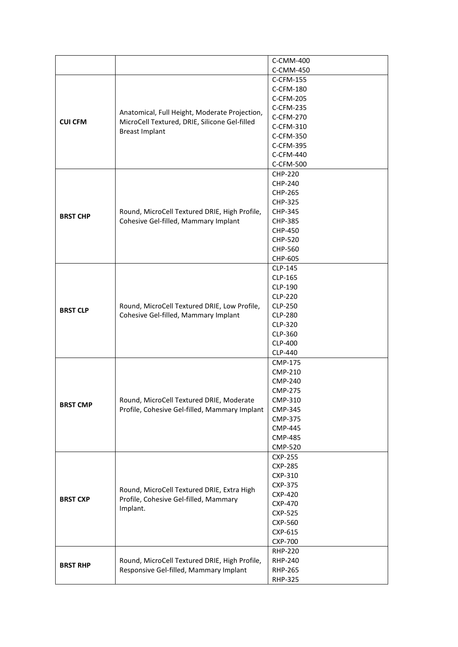|                 |                                                                                                                         | C-CMM-400      |
|-----------------|-------------------------------------------------------------------------------------------------------------------------|----------------|
|                 |                                                                                                                         | C-CMM-450      |
|                 |                                                                                                                         | C-CFM-155      |
|                 |                                                                                                                         | C-CFM-180      |
|                 |                                                                                                                         | C-CFM-205      |
|                 | Anatomical, Full Height, Moderate Projection,<br>MicroCell Textured, DRIE, Silicone Gel-filled<br><b>Breast Implant</b> | C-CFM-235      |
| <b>CUI CFM</b>  |                                                                                                                         | C-CFM-270      |
|                 |                                                                                                                         | C-CFM-310      |
|                 |                                                                                                                         | C-CFM-350      |
|                 |                                                                                                                         | C-CFM-395      |
|                 |                                                                                                                         | C-CFM-440      |
|                 |                                                                                                                         | C-CFM-500      |
|                 |                                                                                                                         | <b>CHP-220</b> |
|                 |                                                                                                                         | <b>CHP-240</b> |
|                 |                                                                                                                         | <b>CHP-265</b> |
|                 |                                                                                                                         | <b>CHP-325</b> |
|                 | Round, MicroCell Textured DRIE, High Profile,                                                                           | <b>CHP-345</b> |
| <b>BRST CHP</b> | Cohesive Gel-filled, Mammary Implant                                                                                    | <b>CHP-385</b> |
|                 |                                                                                                                         | CHP-450        |
|                 |                                                                                                                         | <b>CHP-520</b> |
|                 |                                                                                                                         | <b>CHP-560</b> |
|                 |                                                                                                                         | CHP-605        |
|                 |                                                                                                                         | CLP-145        |
|                 |                                                                                                                         | CLP-165        |
|                 |                                                                                                                         | CLP-190        |
|                 | Round, MicroCell Textured DRIE, Low Profile,<br>Cohesive Gel-filled, Mammary Implant                                    | <b>CLP-220</b> |
|                 |                                                                                                                         | CLP-250        |
| <b>BRST CLP</b> |                                                                                                                         | <b>CLP-280</b> |
|                 |                                                                                                                         | CLP-320        |
|                 |                                                                                                                         | CLP-360        |
|                 |                                                                                                                         | <b>CLP-400</b> |
|                 |                                                                                                                         | CLP-440        |
|                 |                                                                                                                         | <b>CMP-175</b> |
|                 |                                                                                                                         | <b>CMP-210</b> |
|                 | Round, MicroCell Textured DRIE, Moderate<br>Profile, Cohesive Gel-filled, Mammary Implant                               | <b>CMP-240</b> |
|                 |                                                                                                                         | <b>CMP-275</b> |
| <b>BRST CMP</b> |                                                                                                                         | CMP-310        |
|                 |                                                                                                                         | CMP-345        |
|                 |                                                                                                                         | <b>CMP-375</b> |
|                 |                                                                                                                         | <b>CMP-445</b> |
|                 |                                                                                                                         | <b>CMP-485</b> |
|                 |                                                                                                                         | <b>CMP-520</b> |
|                 |                                                                                                                         | <b>CXP-255</b> |
|                 |                                                                                                                         | <b>CXP-285</b> |
|                 |                                                                                                                         | CXP-310        |
|                 | Round, MicroCell Textured DRIE, Extra High                                                                              | <b>CXP-375</b> |
| <b>BRST CXP</b> |                                                                                                                         | <b>CXP-420</b> |
|                 | Profile, Cohesive Gel-filled, Mammary<br>Implant.                                                                       | <b>CXP-470</b> |
|                 |                                                                                                                         | <b>CXP-525</b> |
|                 |                                                                                                                         | <b>CXP-560</b> |
|                 |                                                                                                                         | CXP-615        |
|                 |                                                                                                                         | <b>CXP-700</b> |
|                 |                                                                                                                         | <b>RHP-220</b> |
| <b>BRST RHP</b> | Round, MicroCell Textured DRIE, High Profile,<br>Responsive Gel-filled, Mammary Implant                                 | RHP-240        |
|                 |                                                                                                                         | <b>RHP-265</b> |
|                 |                                                                                                                         | <b>RHP-325</b> |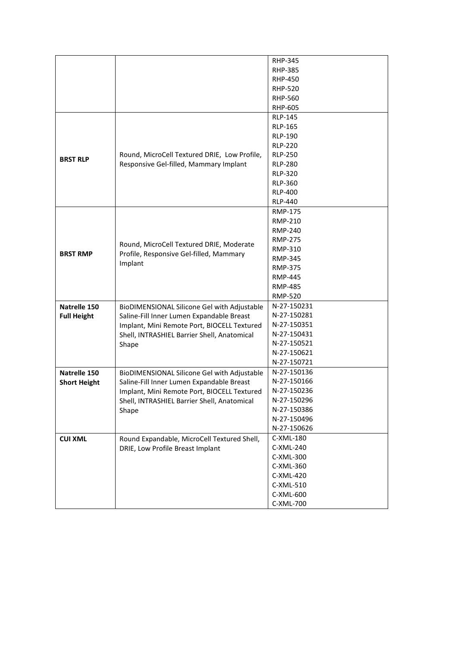|                     |                                              | <b>RHP-345</b> |
|---------------------|----------------------------------------------|----------------|
|                     |                                              | <b>RHP-385</b> |
|                     |                                              |                |
|                     |                                              | <b>RHP-450</b> |
|                     |                                              | <b>RHP-520</b> |
|                     |                                              | RHP-560        |
|                     |                                              | <b>RHP-605</b> |
|                     |                                              | <b>RLP-145</b> |
|                     |                                              | <b>RLP-165</b> |
|                     |                                              | <b>RLP-190</b> |
|                     |                                              | <b>RLP-220</b> |
| <b>BRST RLP</b>     | Round, MicroCell Textured DRIE, Low Profile, | <b>RLP-250</b> |
|                     | Responsive Gel-filled, Mammary Implant       | <b>RLP-280</b> |
|                     |                                              | <b>RLP-320</b> |
|                     |                                              | <b>RLP-360</b> |
|                     |                                              | <b>RLP-400</b> |
|                     |                                              | <b>RLP-440</b> |
|                     |                                              | <b>RMP-175</b> |
|                     |                                              | <b>RMP-210</b> |
|                     |                                              | RMP-240        |
|                     |                                              | <b>RMP-275</b> |
|                     | Round, MicroCell Textured DRIE, Moderate     | RMP-310        |
| <b>BRST RMP</b>     | Profile, Responsive Gel-filled, Mammary      | <b>RMP-345</b> |
|                     | Implant                                      | <b>RMP-375</b> |
|                     |                                              | <b>RMP-445</b> |
|                     |                                              | <b>RMP-485</b> |
|                     |                                              | <b>RMP-520</b> |
|                     |                                              | N-27-150231    |
| Natrelle 150        | BioDIMENSIONAL Silicone Gel with Adjustable  |                |
| <b>Full Height</b>  | Saline-Fill Inner Lumen Expandable Breast    | N-27-150281    |
|                     | Implant, Mini Remote Port, BIOCELL Textured  | N-27-150351    |
|                     | Shell, INTRASHIEL Barrier Shell, Anatomical  | N-27-150431    |
|                     | Shape                                        | N-27-150521    |
|                     |                                              | N-27-150621    |
|                     |                                              | N-27-150721    |
| Natrelle 150        | BioDIMENSIONAL Silicone Gel with Adjustable  | N-27-150136    |
| <b>Short Height</b> | Saline-Fill Inner Lumen Expandable Breast    | N-27-150166    |
|                     | Implant, Mini Remote Port, BIOCELL Textured  | N-27-150236    |
|                     | Shell, INTRASHIEL Barrier Shell, Anatomical  | N-27-150296    |
|                     | Shape                                        | N-27-150386    |
|                     |                                              | N-27-150496    |
|                     |                                              | N-27-150626    |
| <b>CUI XML</b>      | Round Expandable, MicroCell Textured Shell,  | C-XML-180      |
|                     | DRIE, Low Profile Breast Implant             | C-XML-240      |
|                     |                                              | C-XML-300      |
|                     |                                              | C-XML-360      |
|                     |                                              | C-XML-420      |
|                     |                                              | C-XML-510      |
|                     |                                              | C-XML-600      |
|                     |                                              | C-XML-700      |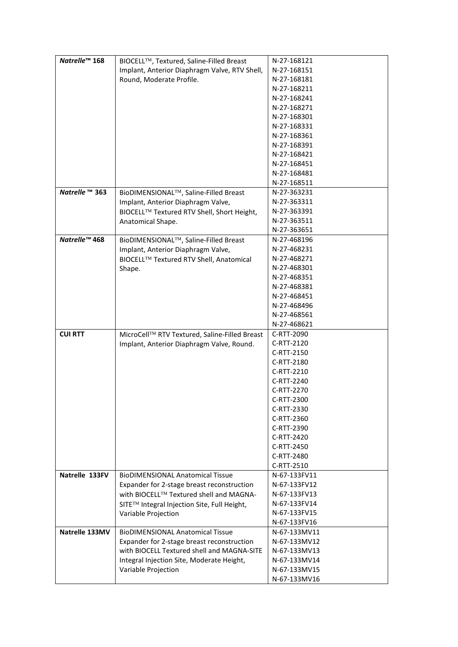| Natrelle <sup>™</sup> 168 | BIOCELL™, Textured, Saline-Filled Breast      | N-27-168121                  |
|---------------------------|-----------------------------------------------|------------------------------|
|                           | Implant, Anterior Diaphragm Valve, RTV Shell, | N-27-168151                  |
|                           | Round, Moderate Profile.                      | N-27-168181                  |
|                           |                                               | N-27-168211                  |
|                           |                                               | N-27-168241                  |
|                           |                                               | N-27-168271                  |
|                           |                                               |                              |
|                           |                                               | N-27-168301                  |
|                           |                                               | N-27-168331                  |
|                           |                                               | N-27-168361                  |
|                           |                                               | N-27-168391                  |
|                           |                                               | N-27-168421                  |
|                           |                                               | N-27-168451                  |
|                           |                                               | N-27-168481                  |
|                           |                                               | N-27-168511                  |
| Natrelle ™ 363            | BioDIMENSIONAL™, Saline-Filled Breast         | N-27-363231                  |
|                           | Implant, Anterior Diaphragm Valve,            | N-27-363311                  |
|                           | BIOCELL™ Textured RTV Shell, Short Height,    | N-27-363391                  |
|                           | Anatomical Shape.                             | N-27-363511                  |
|                           |                                               | N-27-363651                  |
| Natrelle™ 468             | BioDIMENSIONAL™, Saline-Filled Breast         | N-27-468196                  |
|                           | Implant, Anterior Diaphragm Valve,            | N-27-468231                  |
|                           | BIOCELL™ Textured RTV Shell, Anatomical       | N-27-468271                  |
|                           | Shape.                                        | N-27-468301                  |
|                           |                                               | N-27-468351                  |
|                           |                                               | N-27-468381                  |
|                           |                                               | N-27-468451                  |
|                           |                                               | N-27-468496                  |
|                           |                                               | N-27-468561                  |
|                           |                                               | N-27-468621                  |
|                           |                                               |                              |
| <b>CUI RTT</b>            | MicroCell™ RTV Textured, Saline-Filled Breast | C-RTT-2090                   |
|                           | Implant, Anterior Diaphragm Valve, Round.     | C-RTT-2120                   |
|                           |                                               | C-RTT-2150                   |
|                           |                                               | C-RTT-2180                   |
|                           |                                               | C-RTT-2210                   |
|                           |                                               | C-RTT-2240                   |
|                           |                                               | C-RTT-2270                   |
|                           |                                               | C-RTT-2300                   |
|                           |                                               | C-RTT-2330                   |
|                           |                                               | C-RTT-2360                   |
|                           |                                               |                              |
|                           |                                               | C-RTT-2390                   |
|                           |                                               | C-RTT-2420                   |
|                           |                                               | C-RTT-2450                   |
|                           |                                               | C-RTT-2480                   |
|                           |                                               | C-RTT-2510                   |
| Natrelle 133FV            | <b>BioDIMENSIONAL Anatomical Tissue</b>       | N-67-133FV11                 |
|                           | Expander for 2-stage breast reconstruction    | N-67-133FV12                 |
|                           | with BIOCELL™ Textured shell and MAGNA-       | N-67-133FV13                 |
|                           |                                               | N-67-133FV14                 |
|                           | SITE™ Integral Injection Site, Full Height,   | N-67-133FV15                 |
|                           | Variable Projection                           |                              |
|                           |                                               | N-67-133FV16                 |
| Natrelle 133MV            | <b>BioDIMENSIONAL Anatomical Tissue</b>       | N-67-133MV11                 |
|                           | Expander for 2-stage breast reconstruction    | N-67-133MV12                 |
|                           | with BIOCELL Textured shell and MAGNA-SITE    | N-67-133MV13                 |
|                           | Integral Injection Site, Moderate Height,     | N-67-133MV14                 |
|                           | Variable Projection                           | N-67-133MV15<br>N-67-133MV16 |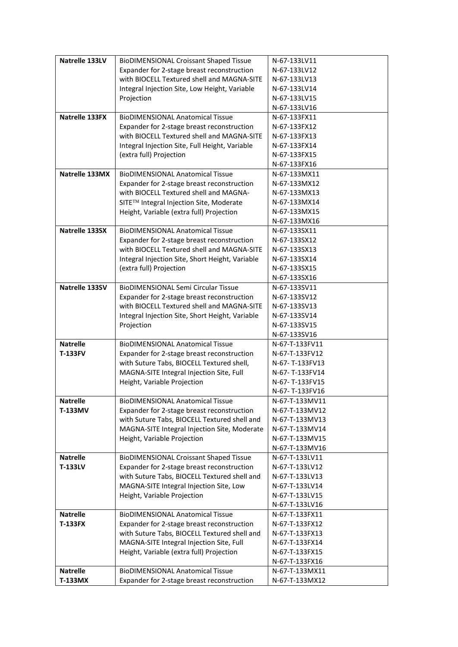| Natrelle 133LV  | <b>BioDIMENSIONAL Croissant Shaped Tissue</b>   | N-67-133LV11   |
|-----------------|-------------------------------------------------|----------------|
|                 | Expander for 2-stage breast reconstruction      | N-67-133LV12   |
|                 | with BIOCELL Textured shell and MAGNA-SITE      | N-67-133LV13   |
|                 | Integral Injection Site, Low Height, Variable   | N-67-133LV14   |
|                 | Projection                                      | N-67-133LV15   |
|                 |                                                 | N-67-133LV16   |
|                 |                                                 |                |
| Natrelle 133FX  | <b>BioDIMENSIONAL Anatomical Tissue</b>         | N-67-133FX11   |
|                 | Expander for 2-stage breast reconstruction      | N-67-133FX12   |
|                 | with BIOCELL Textured shell and MAGNA-SITE      | N-67-133FX13   |
|                 | Integral Injection Site, Full Height, Variable  | N-67-133FX14   |
|                 | (extra full) Projection                         | N-67-133FX15   |
|                 |                                                 | N-67-133FX16   |
| Natrelle 133MX  | <b>BioDIMENSIONAL Anatomical Tissue</b>         | N-67-133MX11   |
|                 | Expander for 2-stage breast reconstruction      | N-67-133MX12   |
|                 | with BIOCELL Textured shell and MAGNA-          | N-67-133MX13   |
|                 | SITE™ Integral Injection Site, Moderate         | N-67-133MX14   |
|                 | Height, Variable (extra full) Projection        | N-67-133MX15   |
|                 |                                                 | N-67-133MX16   |
| Natrelle 133SX  | <b>BioDIMENSIONAL Anatomical Tissue</b>         | N-67-133SX11   |
|                 | Expander for 2-stage breast reconstruction      | N-67-133SX12   |
|                 | with BIOCELL Textured shell and MAGNA-SITE      | N-67-133SX13   |
|                 | Integral Injection Site, Short Height, Variable | N-67-133SX14   |
|                 | (extra full) Projection                         | N-67-133SX15   |
|                 |                                                 | N-67-133SX16   |
| Natrelle 133SV  | <b>BioDIMENSIONAL Semi Circular Tissue</b>      | N-67-133SV11   |
|                 | Expander for 2-stage breast reconstruction      | N-67-133SV12   |
|                 | with BIOCELL Textured shell and MAGNA-SITE      | N-67-133SV13   |
|                 | Integral Injection Site, Short Height, Variable | N-67-133SV14   |
|                 | Projection                                      | N-67-133SV15   |
|                 |                                                 | N-67-133SV16   |
| <b>Natrelle</b> | <b>BioDIMENSIONAL Anatomical Tissue</b>         | N-67-T-133FV11 |
| <b>T-133FV</b>  | Expander for 2-stage breast reconstruction      | N-67-T-133FV12 |
|                 | with Suture Tabs, BIOCELL Textured shell,       | N-67-T-133FV13 |
|                 | MAGNA-SITE Integral Injection Site, Full        | N-67-T-133FV14 |
|                 |                                                 | N-67-T-133FV15 |
|                 | Height, Variable Projection                     |                |
|                 |                                                 | N-67-T-133FV16 |
| <b>Natrelle</b> | <b>BioDIMENSIONAL Anatomical Tissue</b>         | N-67-T-133MV11 |
| T-133MV         | Expander for 2-stage breast reconstruction      | N-67-T-133MV12 |
|                 | with Suture Tabs, BIOCELL Textured shell and    | N-67-T-133MV13 |
|                 | MAGNA-SITE Integral Injection Site, Moderate    | N-67-T-133MV14 |
|                 | Height, Variable Projection                     | N-67-T-133MV15 |
|                 |                                                 | N-67-T-133MV16 |
| <b>Natrelle</b> | <b>BioDIMENSIONAL Croissant Shaped Tissue</b>   | N-67-T-133LV11 |
| T-133LV         | Expander for 2-stage breast reconstruction      | N-67-T-133LV12 |
|                 | with Suture Tabs, BIOCELL Textured shell and    | N-67-T-133LV13 |
|                 | MAGNA-SITE Integral Injection Site, Low         | N-67-T-133LV14 |
|                 | Height, Variable Projection                     | N-67-T-133LV15 |
|                 |                                                 | N-67-T-133LV16 |
| <b>Natrelle</b> | <b>BioDIMENSIONAL Anatomical Tissue</b>         | N-67-T-133FX11 |
| <b>T-133FX</b>  | Expander for 2-stage breast reconstruction      | N-67-T-133FX12 |
|                 | with Suture Tabs, BIOCELL Textured shell and    | N-67-T-133FX13 |
|                 | MAGNA-SITE Integral Injection Site, Full        | N-67-T-133FX14 |
|                 | Height, Variable (extra full) Projection        | N-67-T-133FX15 |
|                 |                                                 | N-67-T-133FX16 |
| <b>Natrelle</b> | <b>BioDIMENSIONAL Anatomical Tissue</b>         | N-67-T-133MX11 |
| T-133MX         | Expander for 2-stage breast reconstruction      | N-67-T-133MX12 |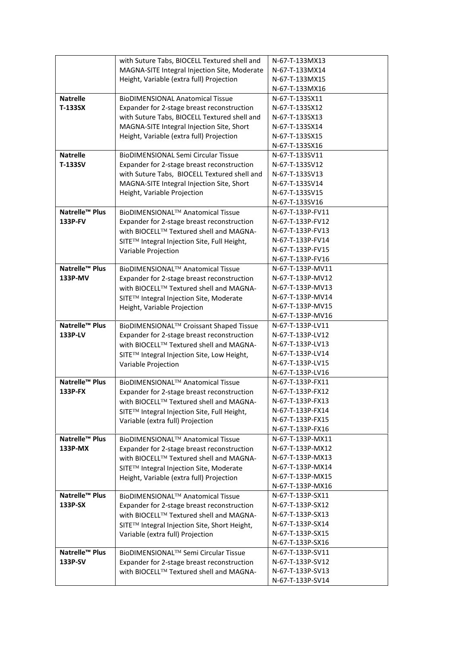|                            | with Suture Tabs, BIOCELL Textured shell and                                          | N-67-T-133MX13                       |
|----------------------------|---------------------------------------------------------------------------------------|--------------------------------------|
|                            | MAGNA-SITE Integral Injection Site, Moderate                                          | N-67-T-133MX14                       |
|                            | Height, Variable (extra full) Projection                                              | N-67-T-133MX15                       |
|                            |                                                                                       | N-67-T-133MX16                       |
| <b>Natrelle</b>            | <b>BioDIMENSIONAL Anatomical Tissue</b>                                               | N-67-T-133SX11                       |
| <b>T-133SX</b>             | Expander for 2-stage breast reconstruction                                            | N-67-T-133SX12                       |
|                            | with Suture Tabs, BIOCELL Textured shell and                                          | N-67-T-133SX13                       |
|                            | MAGNA-SITE Integral Injection Site, Short                                             | N-67-T-133SX14                       |
|                            | Height, Variable (extra full) Projection                                              | N-67-T-133SX15                       |
|                            |                                                                                       | N-67-T-133SX16                       |
| <b>Natrelle</b>            | <b>BioDIMENSIONAL Semi Circular Tissue</b>                                            | N-67-T-133SV11                       |
| <b>T-133SV</b>             | Expander for 2-stage breast reconstruction                                            | N-67-T-133SV12                       |
|                            | with Suture Tabs, BIOCELL Textured shell and                                          | N-67-T-133SV13                       |
|                            | MAGNA-SITE Integral Injection Site, Short                                             | N-67-T-133SV14                       |
|                            | Height, Variable Projection                                                           | N-67-T-133SV15                       |
|                            |                                                                                       | N-67-T-133SV16                       |
| Natrelle <sup>™</sup> Plus | BioDIMENSIONAL <sup>™</sup> Anatomical Tissue                                         | N-67-T-133P-FV11                     |
| 133P-FV                    | Expander for 2-stage breast reconstruction                                            | N-67-T-133P-FV12                     |
|                            | with BIOCELL™ Textured shell and MAGNA-                                               | N-67-T-133P-FV13                     |
|                            | SITE™ Integral Injection Site, Full Height,                                           | N-67-T-133P-FV14                     |
|                            |                                                                                       | N-67-T-133P-FV15                     |
|                            | Variable Projection                                                                   | N-67-T-133P-FV16                     |
| Natrelle <sup>™</sup> Plus | BioDIMENSIONAL™ Anatomical Tissue                                                     | N-67-T-133P-MV11                     |
| 133P-MV                    | Expander for 2-stage breast reconstruction                                            | N-67-T-133P-MV12                     |
|                            | with BIOCELL™ Textured shell and MAGNA-                                               | N-67-T-133P-MV13                     |
|                            | SITE™ Integral Injection Site, Moderate                                               | N-67-T-133P-MV14                     |
|                            |                                                                                       | N-67-T-133P-MV15                     |
|                            | Height, Variable Projection                                                           | N-67-T-133P-MV16                     |
| Natrelle <sup>™</sup> Plus | BioDIMENSIONAL™ Croissant Shaped Tissue                                               | N-67-T-133P-LV11                     |
|                            |                                                                                       |                                      |
|                            |                                                                                       |                                      |
| 133P-LV                    | Expander for 2-stage breast reconstruction                                            | N-67-T-133P-LV12                     |
|                            | with BIOCELL™ Textured shell and MAGNA-                                               | N-67-T-133P-LV13                     |
|                            | SITE™ Integral Injection Site, Low Height,                                            | N-67-T-133P-LV14                     |
|                            | Variable Projection                                                                   | N-67-T-133P-LV15                     |
|                            |                                                                                       | N-67-T-133P-LV16                     |
| Natrelle <sup>™</sup> Plus | BioDIMENSIONAL™ Anatomical Tissue                                                     | N-67-T-133P-FX11                     |
| 133P-FX                    | Expander for 2-stage breast reconstruction                                            | N-67-T-133P-FX12                     |
|                            | with BIOCELL™ Textured shell and MAGNA-                                               | N-67-T-133P-FX13<br>N-67-T-133P-FX14 |
|                            | SITE™ Integral Injection Site, Full Height,                                           |                                      |
|                            | Variable (extra full) Projection                                                      | N-67-T-133P-FX15                     |
| Natrelle™ Plus             |                                                                                       | N-67-T-133P-FX16<br>N-67-T-133P-MX11 |
| 133P-MX                    | BioDIMENSIONAL™ Anatomical Tissue                                                     | N-67-T-133P-MX12                     |
|                            | Expander for 2-stage breast reconstruction                                            | N-67-T-133P-MX13                     |
|                            | with BIOCELL™ Textured shell and MAGNA-                                               | N-67-T-133P-MX14                     |
|                            | SITE™ Integral Injection Site, Moderate                                               | N-67-T-133P-MX15                     |
|                            | Height, Variable (extra full) Projection                                              | N-67-T-133P-MX16                     |
| Natrelle <sup>™</sup> Plus | BioDIMENSIONAL™ Anatomical Tissue                                                     | N-67-T-133P-SX11                     |
| 133P-SX                    |                                                                                       | N-67-T-133P-SX12                     |
|                            | Expander for 2-stage breast reconstruction<br>with BIOCELL™ Textured shell and MAGNA- | N-67-T-133P-SX13                     |
|                            |                                                                                       | N-67-T-133P-SX14                     |
|                            | SITE™ Integral Injection Site, Short Height,                                          | N-67-T-133P-SX15                     |
|                            | Variable (extra full) Projection                                                      | N-67-T-133P-SX16                     |
| Natrelle <sup>™</sup> Plus | BioDIMENSIONAL™ Semi Circular Tissue                                                  | N-67-T-133P-SV11                     |
| 133P-SV                    |                                                                                       | N-67-T-133P-SV12                     |
|                            | Expander for 2-stage breast reconstruction<br>with BIOCELL™ Textured shell and MAGNA- | N-67-T-133P-SV13                     |